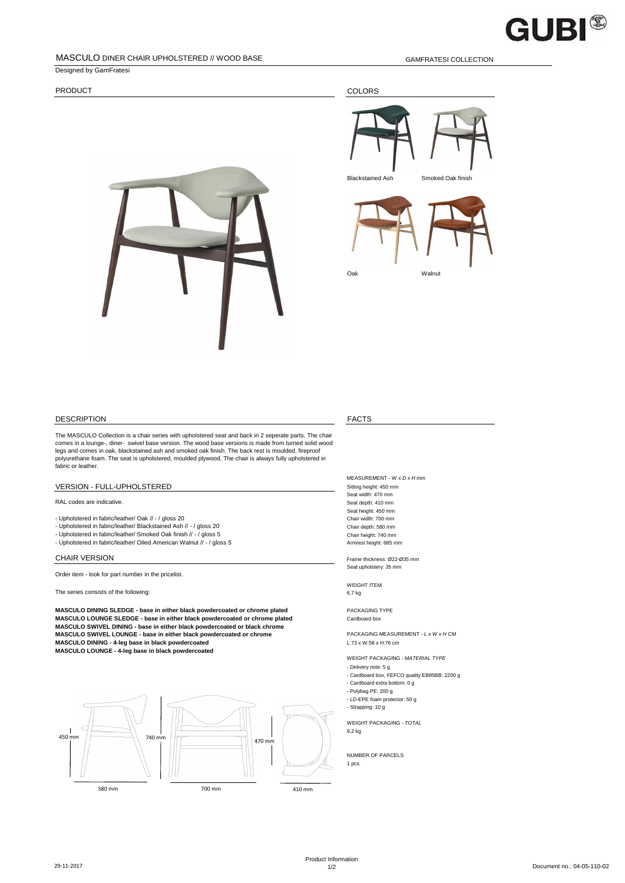

# MASCULO DINER CHAIR UPHOLSTERED // WOOD BASE GAMENTESI COLLECTION

Designed by GamFratesi

PRODUCT COLORS







# DESCRIPTION FACTS

The MASCULO Collection is a chair series with upholstered seat and back in 2 seperate parts. The chair comes in a lounge-, diner- swivel base version. The wood base versions is made from turned solid wood legs and comes in oak, blackstained ash and smoked oak finish. The back rest is moulded, fireproof polyurethane foam. The seat is upholstered, moulded plywood. The chair is always fully upholstered in fabric or leather.

# VERSION - FULL-UPHOLSTERED Sitting height: 450 mm

RAL codes are indicative.<br>Seat depth: 410 mm

- Upholstered in fabric/leather/ Oak // / gloss 20
- Upholstered in fabric/leather/ Blackstained Ash // / gloss 20<br>- Upholstered in fabric/leather/ Smoked Oak finish // / gloss 5 Chair height: 740 mm Chair height: 740 mm
- 
- Upholstered in fabric/leather/ Oiled American Walnut // / gloss 5 Armrest height: 685 mm

Order item - look for part number in the pricelist.

The series consists of the following:<br>
6,7 kg

**MASCULO DINING SLEDGE - base in either black powdercoated or chrome plated** PACKAGING TYPE **MASCULO LOUNGE SLEDGE - base in either black powdercoated or chrome plated** Cardboard box **MASCULO SWIVEL DINING - base in either black powdercoated or black chrome MASCULO SWIVEL LOUNGE - base in either black powdercoated or chrome PACKAGING MEASUREMENT -** *L x W x H CM***<br>MASCULO DINING - 4-leg base in black powdercoated MASCULO LOUNGE - 4-leg base in black powdercoated**



MEASUREMENT - W *x D x H mm* Seat width: 470 mm Seat height: 450 mm<br>Chair width: 700 mm

CHAIR VERSION Frame thickness: Ø22-Ø35 mm Seat upholstery: 35 mm

WEIGHT ITEM

WEIGHT PACKAGING - *MATERIAL TYPE*

- Delivery note: 5 g - Cardboard box, FEFCO quality EB85BB: 2200 g

- Cardboard extra bottom: 0 g

- Polybag PE: 200 g
- LD-EPE foam protector: 50 g - Strapping: 10 g

WEIGHT PACKAGING - *TOTAL* 9,2 kg

NUMBER OF PARCELS 1 pcs.